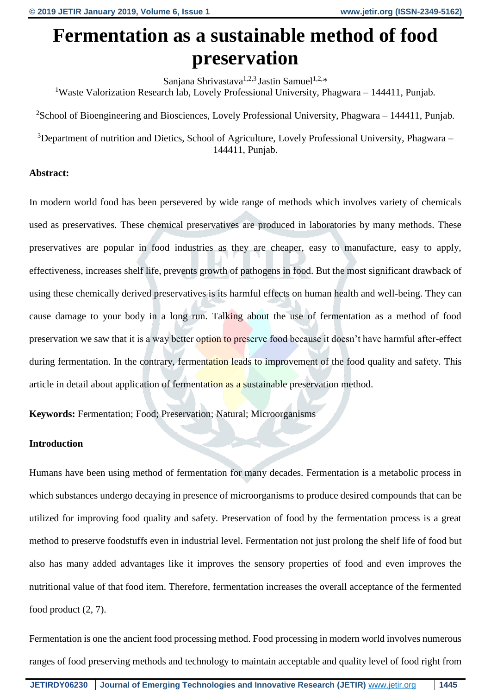# **Fermentation as a sustainable method of food preservation**

Sanjana Shrivastava<sup>1,2,3</sup> Jastin Samuel<sup>1,2,\*</sup> <sup>1</sup>Waste Valorization Research lab, Lovely Professional University, Phagwara – 144411, Punjab.

<sup>2</sup>School of Bioengineering and Biosciences, Lovely Professional University, Phagwara – 144411, Punjab.

<sup>3</sup>Department of nutrition and Dietics, School of Agriculture, Lovely Professional University, Phagwara – 144411, Punjab.

## **Abstract:**

In modern world food has been persevered by wide range of methods which involves variety of chemicals used as preservatives. These chemical preservatives are produced in laboratories by many methods. These preservatives are popular in food industries as they are cheaper, easy to manufacture, easy to apply, effectiveness, increases shelf life, prevents growth of pathogens in food. But the most significant drawback of using these chemically derived preservatives is its harmful effects on human health and well-being. They can cause damage to your body in a long run. Talking about the use of fermentation as a method of food preservation we saw that it is a way better option to preserve food because it doesn't have harmful after-effect during fermentation. In the contrary, fermentation leads to improvement of the food quality and safety. This article in detail about application of fermentation as a sustainable preservation method.

**Keywords:** Fermentation; Food; Preservation; Natural; Microorganisms

# **Introduction**

Humans have been using method of fermentation for many decades. Fermentation is a metabolic process in which substances undergo decaying in presence of microorganisms to produce desired compounds that can be utilized for improving food quality and safety. Preservation of food by the fermentation process is a great method to preserve foodstuffs even in industrial level. Fermentation not just prolong the shelf life of food but also has many added advantages like it improves the sensory properties of food and even improves the nutritional value of that food item. Therefore, fermentation increases the overall acceptance of the fermented food product (2, 7).

Fermentation is one the ancient food processing method. Food processing in modern world involves numerous ranges of food preserving methods and technology to maintain acceptable and quality level of food right from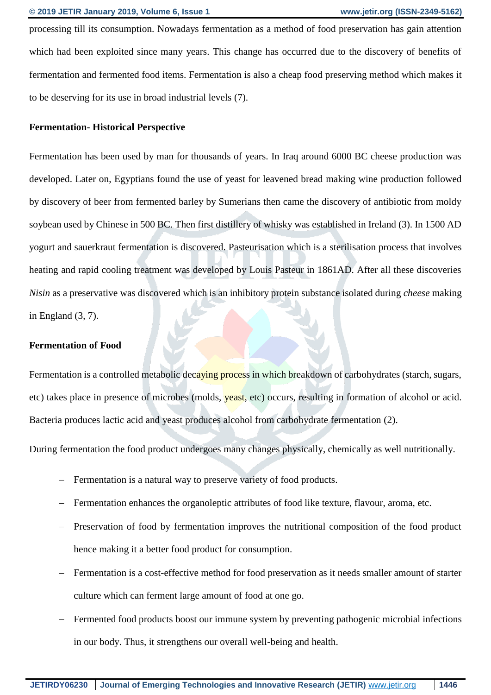processing till its consumption. Nowadays fermentation as a method of food preservation has gain attention which had been exploited since many years. This change has occurred due to the discovery of benefits of fermentation and fermented food items. Fermentation is also a cheap food preserving method which makes it to be deserving for its use in broad industrial levels (7).

#### **Fermentation- Historical Perspective**

Fermentation has been used by man for thousands of years. In Iraq around 6000 BC cheese production was developed. Later on, Egyptians found the use of yeast for leavened bread making wine production followed by discovery of beer from fermented barley by Sumerians then came the discovery of antibiotic from moldy soybean used by Chinese in 500 BC. Then first distillery of whisky was established in Ireland (3). In 1500 AD yogurt and sauerkraut fermentation is discovered. Pasteurisation which is a sterilisation process that involves heating and rapid cooling treatment was developed by Louis Pasteur in 1861AD. After all these discoveries *Nisin* as a preservative was discovered which is an inhibitory protein substance isolated during *cheese* making in England (3, 7).

#### **Fermentation of Food**

Fermentation is a controlled metabolic decaying process in which breakdown of carbohydrates (starch, sugars, etc) takes place in presence of microbes (molds, yeast, etc) occurs, resulting in formation of alcohol or acid. Bacteria produces lactic acid and yeast produces alcohol from carbohydrate fermentation (2).

During fermentation the food product undergoes many changes physically, chemically as well nutritionally.

- Fermentation is a natural way to preserve variety of food products.
- Fermentation enhances the organoleptic attributes of food like texture, flavour, aroma, etc.
- Preservation of food by fermentation improves the nutritional composition of the food product hence making it a better food product for consumption.
- Fermentation is a cost-effective method for food preservation as it needs smaller amount of starter culture which can ferment large amount of food at one go.
- Fermented food products boost our immune system by preventing pathogenic microbial infections in our body. Thus, it strengthens our overall well-being and health.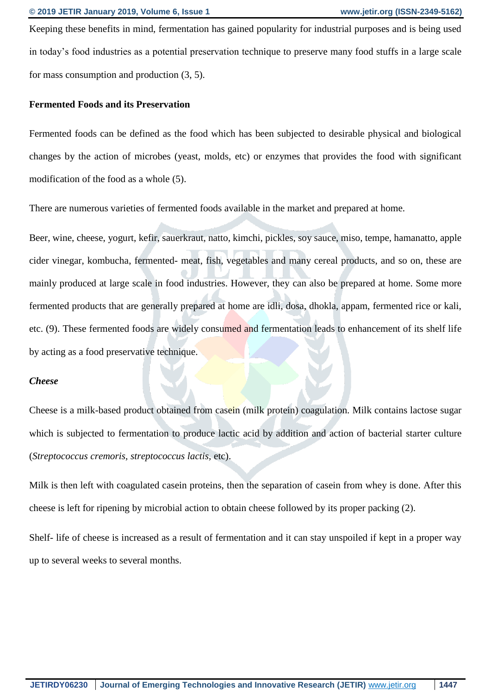Keeping these benefits in mind, fermentation has gained popularity for industrial purposes and is being used in today's food industries as a potential preservation technique to preserve many food stuffs in a large scale for mass consumption and production (3, 5).

#### **Fermented Foods and its Preservation**

Fermented foods can be defined as the food which has been subjected to desirable physical and biological changes by the action of microbes (yeast, molds, etc) or enzymes that provides the food with significant modification of the food as a whole (5).

There are numerous varieties of fermented foods available in the market and prepared at home.

Beer, wine, cheese, yogurt, kefir, sauerkraut, natto, kimchi, pickles, soy sauce, miso, tempe, hamanatto, apple cider vinegar, kombucha, fermented- meat, fish, vegetables and many cereal products, and so on, these are mainly produced at large scale in food industries. However, they can also be prepared at home. Some more fermented products that are generally prepared at home are idli, dosa, dhokla, appam, fermented rice or kali, etc. (9). These fermented foods are widely consumed and fermentation leads to enhancement of its shelf life by acting as a food preservative technique.

#### *Cheese*

Cheese is a milk-based product obtained from casein (milk protein) coagulation. Milk contains lactose sugar which is subjected to fermentation to produce lactic acid by addition and action of bacterial starter culture (*Streptococcus cremoris, streptococcus lactis,* etc).

Milk is then left with coagulated casein proteins, then the separation of casein from whey is done. After this cheese is left for ripening by microbial action to obtain cheese followed by its proper packing (2).

Shelf- life of cheese is increased as a result of fermentation and it can stay unspoiled if kept in a proper way up to several weeks to several months.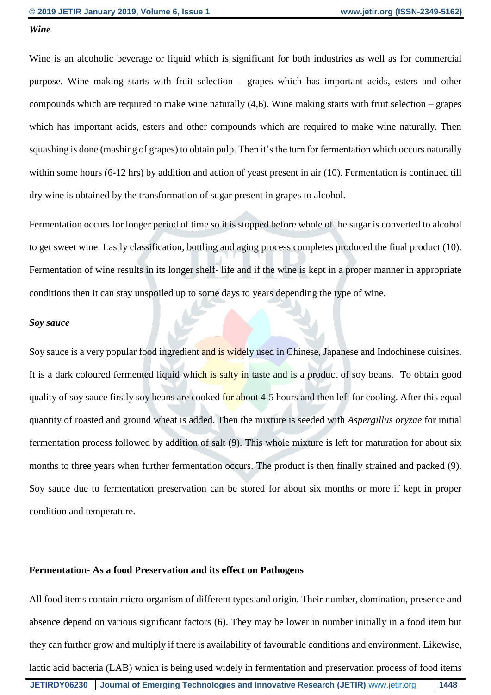#### *Wine*

Wine is an alcoholic beverage or liquid which is significant for both industries as well as for commercial purpose. Wine making starts with fruit selection – grapes which has important acids, esters and other compounds which are required to make wine naturally (4,6). Wine making starts with fruit selection – grapes which has important acids, esters and other compounds which are required to make wine naturally. Then squashing is done (mashing of grapes) to obtain pulp. Then it's the turn for fermentation which occurs naturally within some hours (6-12 hrs) by addition and action of yeast present in air (10). Fermentation is continued till dry wine is obtained by the transformation of sugar present in grapes to alcohol.

Fermentation occurs for longer period of time so it is stopped before whole of the sugar is converted to alcohol to get sweet wine. Lastly classification, bottling and aging process completes produced the final product (10). Fermentation of wine results in its longer shelf- life and if the wine is kept in a proper manner in appropriate conditions then it can stay unspoiled up to some days to years depending the type of wine.

#### *Soy sauce*

Soy sauce is a very popular food ingredient and is widely used in Chinese, Japanese and Indochinese cuisines. It is a dark coloured fermented liquid which is salty in taste and is a product of soy beans. To obtain good quality of soy sauce firstly soy beans are cooked for about 4-5 hours and then left for cooling. After this equal quantity of roasted and ground wheat is added. Then the mixture is seeded with *Aspergillus oryzae* for initial fermentation process followed by addition of salt (9). This whole mixture is left for maturation for about six months to three years when further fermentation occurs. The product is then finally strained and packed (9). Soy sauce due to fermentation preservation can be stored for about six months or more if kept in proper condition and temperature.

#### **Fermentation- As a food Preservation and its effect on Pathogens**

All food items contain micro-organism of different types and origin. Their number, domination, presence and absence depend on various significant factors (6). They may be lower in number initially in a food item but they can further grow and multiply if there is availability of favourable conditions and environment. Likewise, lactic acid bacteria (LAB) which is being used widely in fermentation and preservation process of food items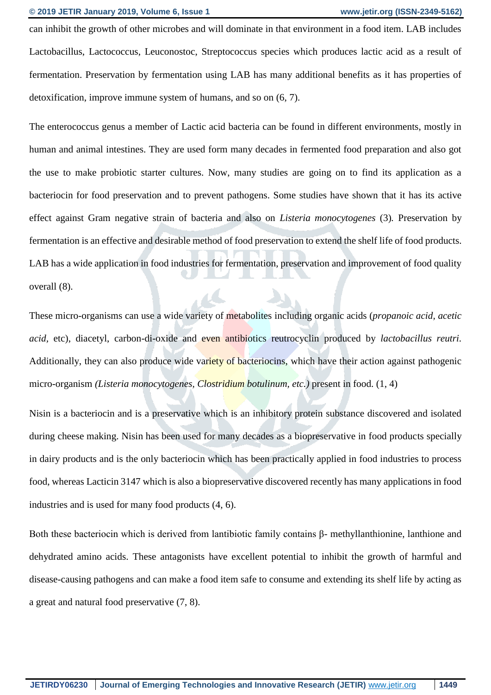can inhibit the growth of other microbes and will dominate in that environment in a food item. LAB includes Lactobacillus, Lactococcus, Leuconostoc, Streptococcus species which produces lactic acid as a result of fermentation. Preservation by fermentation using LAB has many additional benefits as it has properties of detoxification, improve immune system of humans, and so on (6, 7).

The enterococcus genus a member of Lactic acid bacteria can be found in different environments, mostly in human and animal intestines. They are used form many decades in fermented food preparation and also got the use to make probiotic starter cultures. Now, many studies are going on to find its application as a bacteriocin for food preservation and to prevent pathogens. Some studies have shown that it has its active effect against Gram negative strain of bacteria and also on *Listeria monocytogenes* (3)*.* Preservation by fermentation is an effective and desirable method of food preservation to extend the shelf life of food products. LAB has a wide application in food industries for fermentation, preservation and improvement of food quality overall (8).

These micro-organisms can use a wide variety of metabolites including organic acids (*propanoic acid, acetic acid,* etc), diacetyl, carbon-di-oxide and even antibiotics reutrocyclin produced by *lactobacillus reutri.* Additionally, they can also produce wide variety of bacteriocins, which have their action against pathogenic micro-organism *(Listeria monocytogenes, Clostridium botulinum, etc.)* present in food. (1, 4)

Nisin is a bacteriocin and is a preservative which is an inhibitory protein substance discovered and isolated during cheese making. Nisin has been used for many decades as a biopreservative in food products specially in dairy products and is the only bacteriocin which has been practically applied in food industries to process food, whereas Lacticin 3147 which is also a biopreservative discovered recently has many applications in food industries and is used for many food products (4, 6).

Both these bacteriocin which is derived from lantibiotic family contains β- methyllanthionine, lanthione and dehydrated amino acids. These antagonists have excellent potential to inhibit the growth of harmful and disease-causing pathogens and can make a food item safe to consume and extending its shelf life by acting as a great and natural food preservative (7, 8).